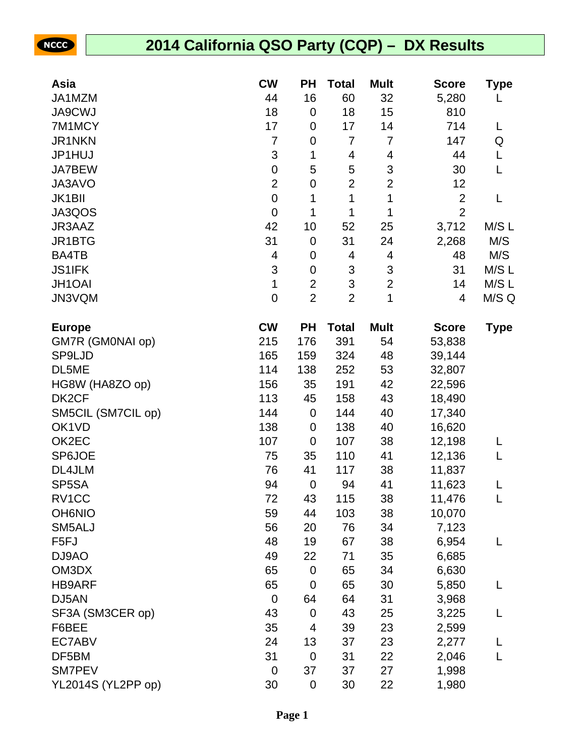NCCC

## **2014 California QSO Party (CQP) – DX Results**

| Asia               | <b>CW</b>        | <b>PH</b>      | Total          | <b>Mult</b>    | <b>Score</b>   | <b>Type</b> |
|--------------------|------------------|----------------|----------------|----------------|----------------|-------------|
| JA1MZM             | 44               | 16             | 60             | 32             | 5,280          |             |
| <b>JA9CWJ</b>      | 18               | $\mathbf 0$    | 18             | 15             | 810            |             |
| 7M1MCY             | 17               | $\mathbf 0$    | 17             | 14             | 714            | L           |
| JR1NKN             | 7                | $\mathbf 0$    | 7              | 7              | 147            | Q           |
| JP1HUJ             | 3                | 1              | 4              | 4              | 44             | L           |
| <b>JA7BEW</b>      | 0                | 5              | 5              | 3              | 30             | L           |
| JA3AVO             | $\overline{2}$   | $\mathbf 0$    | $\overline{2}$ | $\overline{2}$ | 12             |             |
| <b>JK1BII</b>      | $\pmb{0}$        | 1              | 1              | 1              | $\overline{2}$ | L           |
| JA3QOS             | $\boldsymbol{0}$ | 1              | 1              | 1              | $\overline{2}$ |             |
| JR3AAZ             | 42               | 10             | 52             | 25             | 3,712          | M/S L       |
| JR1BTG             | 31               | $\mathbf 0$    | 31             | 24             | 2,268          | M/S         |
| BA4TB              | 4                | $\mathbf 0$    | 4              | 4              | 48             | M/S         |
| <b>JS1IFK</b>      | 3                | $\mathbf 0$    | 3              | 3              | 31             | M/S L       |
| JH1OAI             | $\mathbf{1}$     | $\overline{2}$ | 3              | $\overline{2}$ | 14             | M/S L       |
| JN3VQM             | 0                | $\overline{2}$ | $\overline{2}$ | 1              | 4              | M/S Q       |
| <b>Europe</b>      | <b>CW</b>        | <b>PH</b>      | <b>Total</b>   | <b>Mult</b>    | <b>Score</b>   | <b>Type</b> |
| GM7R (GM0NAI op)   | 215              | 176            | 391            | 54             | 53,838         |             |
| SP9LJD             | 165              | 159            | 324            | 48             | 39,144         |             |
| DL5ME              | 114              | 138            | 252            | 53             | 32,807         |             |
| HG8W (HA8ZO op)    | 156              | 35             | 191            | 42             | 22,596         |             |
| DK <sub>2</sub> CF | 113              | 45             | 158            | 43             | 18,490         |             |
| SM5CIL (SM7CIL op) | 144              | $\mathbf 0$    | 144            | 40             | 17,340         |             |
| OK1VD              | 138              | $\mathbf 0$    | 138            | 40             | 16,620         |             |
| OK2EC              | 107              | $\mathbf 0$    | 107            | 38             | 12,198         | L           |
| <b>SP6JOE</b>      | 75               | 35             | 110            | 41             | 12,136         | L           |
| DL4JLM             | 76               | 41             | 117            | 38             | 11,837         |             |
| SP5SA              | 94               | $\mathbf 0$    | 94             | 41             | 11,623         | L           |
| RV1CC              | 72               | 43             | 115            | 38             | 11,476         | L           |
| <b>OH6NIO</b>      | 59               | 44             | 103            | 38             | 10,070         |             |
| SM5ALJ             | 56               | 20             | 76             | 34             | 7,123          |             |
| F <sub>5FJ</sub>   | 48               | 19             | 67             | 38             | 6,954          | L           |
| DJ9AO              | 49               | 22             | 71             | 35             | 6,685          |             |
| OM3DX              | 65               | $\mathbf 0$    | 65             | 34             | 6,630          |             |
| <b>HB9ARF</b>      | 65               | $\mathbf 0$    | 65             | 30             | 5,850          | L           |
| DJ5AN              | 0                | 64             | 64             | 31             | 3,968          |             |
| SF3A (SM3CER op)   | 43               | $\mathbf 0$    | 43             | 25             | 3,225          | L           |
| F6BEE              | 35               | 4              | 39             | 23             | 2,599          |             |
| EC7ABV             | 24               | 13             | 37             | 23             | 2,277          | L           |
| DF5BM              | 31               | $\mathbf 0$    | 31             | 22             | 2,046          | L           |
| SM7PEV             | $\mathbf 0$      | 37             | 37             | 27             | 1,998          |             |
| YL2014S (YL2PP op) | 30               | $\mathbf 0$    | 30             | 22             | 1,980          |             |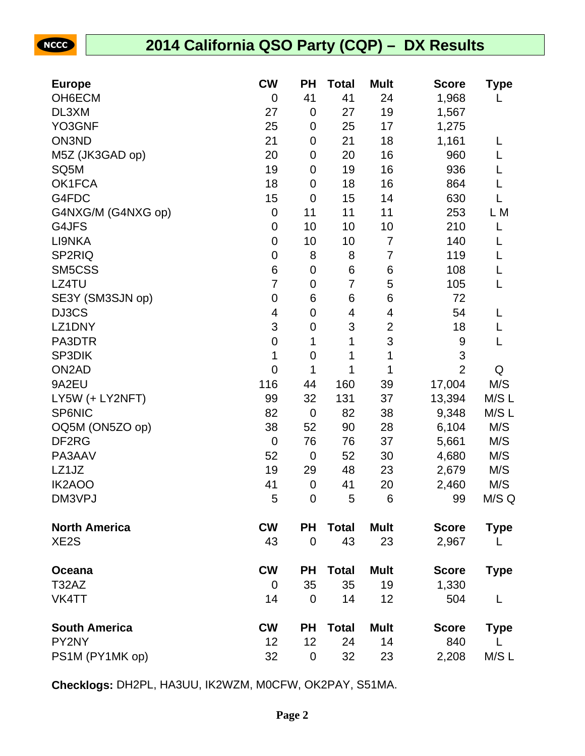NCCC

## **2014 California QSO Party (CQP) – DX Results**

| <b>Europe</b>        | <b>CW</b>        | <b>PH</b>      | <b>Total</b>   | <b>Mult</b>    | <b>Score</b>   | <b>Type</b> |
|----------------------|------------------|----------------|----------------|----------------|----------------|-------------|
| OH6ECM               | $\mathbf 0$      | 41             | 41             | 24             | 1,968          | L           |
| DL3XM                | 27               | $\mathbf 0$    | 27             | 19             | 1,567          |             |
| YO3GNF               | 25               | $\mathbf 0$    | 25             | 17             | 1,275          |             |
| ON3ND                | 21               | $\pmb{0}$      | 21             | 18             | 1,161          | L           |
| M5Z (JK3GAD op)      | 20               | $\pmb{0}$      | 20             | 16             | 960            | L           |
| SQ5M                 | 19               | 0              | 19             | 16             | 936            | L           |
| OK1FCA               | 18               | $\mathbf 0$    | 18             | 16             | 864            | L           |
| G4FDC                | 15               | $\mathbf 0$    | 15             | 14             | 630            | L           |
| G4NXG/M (G4NXG op)   | $\mathbf 0$      | 11             | 11             | 11             | 253            | L M         |
| G4JFS                | $\boldsymbol{0}$ | 10             | 10             | 10             | 210            | L           |
| LI9NKA               | $\boldsymbol{0}$ | 10             | 10             | 7              | 140            | L           |
| SP2RIQ               | $\boldsymbol{0}$ | 8              | 8              | $\overline{7}$ | 119            | L           |
| SM5CSS               | 6                | $\pmb{0}$      | 6              | 6              | 108            | L           |
| LZ4TU                | 7                | 0              | $\overline{7}$ | 5              | 105            | L           |
| SE3Y (SM3SJN op)     | $\mathbf 0$      | 6              | 6              | 6              | 72             |             |
| DJ3CS                | 4                | $\pmb{0}$      | 4              | 4              | 54             | L           |
| LZ1DNY               | 3                | 0              | 3              | $\overline{c}$ | 18             | L           |
| PA3DTR               | $\boldsymbol{0}$ | 1              | 1              | 3              | 9              | L           |
| SP3DIK               | 1                | $\mathbf 0$    | 1              | 1              | 3              |             |
| ON <sub>2</sub> AD   | $\mathbf 0$      | 1              | 1              | 1              | $\overline{2}$ | Q           |
| 9A2EU                | 116              | 44             | 160            | 39             | 17,004         | M/S         |
| LY5W (+ LY2NFT)      | 99               | 32             | 131            | 37             | 13,394         | M/S L       |
| <b>SP6NIC</b>        | 82               | $\mathbf 0$    | 82             | 38             | 9,348          | M/S L       |
| OQ5M (ON5ZO op)      | 38               | 52             | 90             | 28             | 6,104          | M/S         |
| DF <sub>2</sub> RG   | $\mathbf 0$      | 76             | 76             | 37             | 5,661          | M/S         |
| PA3AAV               | 52               | $\mathbf 0$    | 52             | 30             | 4,680          | M/S         |
| LZ1JZ                | 19               | 29             | 48             | 23             | 2,679          | M/S         |
| IK2AOO               | 41               | $\pmb{0}$      | 41             | 20             | 2,460          | M/S         |
| DM3VPJ               | 5                | 0              | 5              | 6              | 99             | M/S Q       |
| <b>North America</b> | <b>CW</b>        | <b>PH</b>      | <b>Total</b>   | <b>Mult</b>    | <b>Score</b>   | <b>Type</b> |
| XE <sub>2</sub> S    | 43               | $\overline{0}$ | 43             | 23             | 2,967          | L           |
| Oceana               | <b>CW</b>        | <b>PH</b>      | <b>Total</b>   | <b>Mult</b>    | <b>Score</b>   | <b>Type</b> |
| T32AZ                | $\Omega$         | 35             | 35             | 19             | 1,330          |             |
| VK4TT                | 14               | $\mathbf 0$    | 14             | 12             | 504            | L           |
| <b>South America</b> | <b>CW</b>        | <b>PH</b>      | <b>Total</b>   | <b>Mult</b>    | <b>Score</b>   | <b>Type</b> |
| PY2NY                | 12               | 12             | 24             | 14             | 840            | L           |
| PS1M (PY1MK op)      | 32               | $\pmb{0}$      | 32             | 23             | 2,208          | M/S L       |

**Checklogs:** DH2PL, HA3UU, IK2WZM, M0CFW, OK2PAY, S51MA.